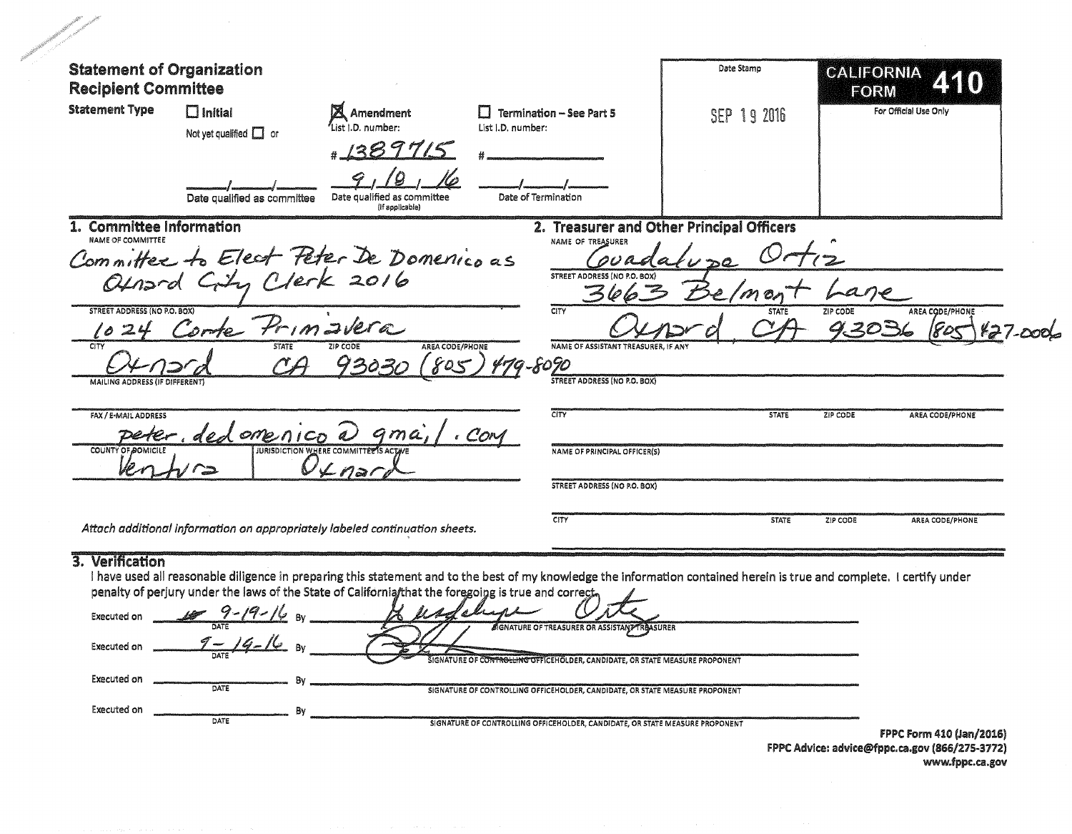| <b>Statement of Organization</b><br><b>Recipient Committee</b> |                                               |                                                                                                      |                                                                                                                                                                         | Date Stamp   | CALIFORNIA<br>440<br>FORM   |
|----------------------------------------------------------------|-----------------------------------------------|------------------------------------------------------------------------------------------------------|-------------------------------------------------------------------------------------------------------------------------------------------------------------------------|--------------|-----------------------------|
| <b>Statement Type</b>                                          | $\Box$ Initial<br>Not yet qualified $\Box$ or | <b>X</b> Amendment<br>List i.D. number:<br># 1389715                                                 | <b>Termination - See Part 5</b><br>List I.D. number:                                                                                                                    | SEP 19 2016  | For Official Use Only       |
|                                                                | Date qualified as committee                   | Date qualified as committee<br>(If applicable)                                                       | Date of Termination                                                                                                                                                     |              |                             |
| 1. Committee Information<br><b>NAME OF COMMITTEE</b>           |                                               |                                                                                                      | 2. Treasurer and Other Principal Officers<br>NAME OF TREASURER                                                                                                          |              |                             |
|                                                                |                                               |                                                                                                      |                                                                                                                                                                         |              |                             |
|                                                                |                                               | Committee to Elect Peter De Domenico as<br>Ofnand City Clerk 2016                                    | STREET ADDRESS (NO P.O. BOX)<br>3663                                                                                                                                    | emon         |                             |
| <b>STREET ADDRESS (NO P.O. BOX)</b>                            |                                               |                                                                                                      | CITY                                                                                                                                                                    | <b>STATE</b> | ZIP CODE<br>AREA CODE/PHONE |
| 10<br>CITY                                                     | Combe Primavera<br><b>STATE</b>               | AREA CODE/PHONE<br>ZIP CODE                                                                          | NAME OF ASSISTANT TREASURER, IF ANY                                                                                                                                     |              | 9.3036                      |
|                                                                |                                               | 805<br>93031                                                                                         | 479-8090                                                                                                                                                                |              |                             |
| MAILING ADDRESS (IF DIFFERENT)                                 |                                               |                                                                                                      | <b>STREET ADDRESS (NO P.O. BOX)</b>                                                                                                                                     |              |                             |
| FAX / E-MAIL ADDRESS                                           | peter, ded omenico a gma,                     |                                                                                                      | CITY<br>. COM                                                                                                                                                           | <b>STATE</b> | ZIP CODE<br>AREA CODE/PHONE |
| <b>COUNTY OF POMICILI</b>                                      |                                               | <b>JURISDICTION WHERE COMMITTER'S ACTIV</b><br>$0$ $4$ nai                                           | <b>NAME OF PRINCIPAL OFFICER(S)</b>                                                                                                                                     |              |                             |
|                                                                |                                               |                                                                                                      | <b>STREET ADDRESS (NO P.O. BOX)</b>                                                                                                                                     |              |                             |
|                                                                |                                               | Attach additional information on appropriately labeled continuation sheets.                          | CITY                                                                                                                                                                    | <b>STATE</b> | ZIP CODE<br>AREA CODE/PHONE |
| 3. Verification                                                |                                               |                                                                                                      |                                                                                                                                                                         |              |                             |
|                                                                |                                               | penalty of perjury under the laws of the State of California/that the foregoing is true and correct, | I have used all reasonable diligence in preparing this statement and to the best of my knowledge the information contained herein is true and complete. I certify under |              |                             |
| Executed on                                                    | $\sim$ $\sim$ $\sim$ $\sim$ $\sim$ $\sim$     | $\mathcal{U}$ and $\mathcal{U}$ , as                                                                 |                                                                                                                                                                         |              |                             |
| Executed on                                                    |                                               |                                                                                                      | SIGNATURE OF TREASURER OR ASSISTANT REASURER                                                                                                                            |              |                             |
|                                                                |                                               |                                                                                                      | ROLLING OFFICEHOLDER, CANDIDATE, OR STATE MEASURE PROPONENT                                                                                                             |              |                             |
| Executed on                                                    |                                               |                                                                                                      |                                                                                                                                                                         |              |                             |

FPPC Advice: advice@fppc.ca.gov (866/275-3772)<br>www.fppc.ca.gov